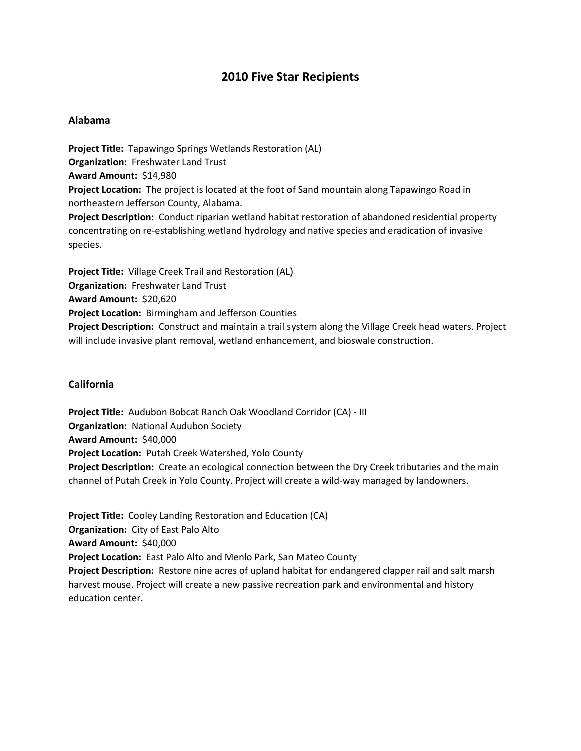# **2010 Five Star Recipients**

#### **Alabama**

**Project Title:** Tapawingo Springs Wetlands Restoration (AL) **Organization:** Freshwater Land Trust **Award Amount:** \$14,980 **Project Location:** The project is located at the foot of Sand mountain along Tapawingo Road in northeastern Jefferson County, Alabama. **Project Description:** Conduct riparian wetland habitat restoration of abandoned residential property concentrating on re-establishing wetland hydrology and native species and eradication of invasive species.

**Project Title:** Village Creek Trail and Restoration (AL) **Organization:** Freshwater Land Trust **Award Amount:** \$20,620 **Project Location:** Birmingham and Jefferson Counties **Project Description:** Construct and maintain a trail system along the Village Creek head waters. Project will include invasive plant removal, wetland enhancement, and bioswale construction.

# **California**

**Project Title:** Audubon Bobcat Ranch Oak Woodland Corridor (CA) - III **Organization:** National Audubon Society **Award Amount:** \$40,000 **Project Location:** Putah Creek Watershed, Yolo County **Project Description:** Create an ecological connection between the Dry Creek tributaries and the main channel of Putah Creek in Yolo County. Project will create a wild-way managed by landowners.

**Project Title:** Cooley Landing Restoration and Education (CA) **Organization:** City of East Palo Alto **Award Amount:** \$40,000 **Project Location:** East Palo Alto and Menlo Park, San Mateo County **Project Description:** Restore nine acres of upland habitat for endangered clapper rail and salt marsh harvest mouse. Project will create a new passive recreation park and environmental and history education center.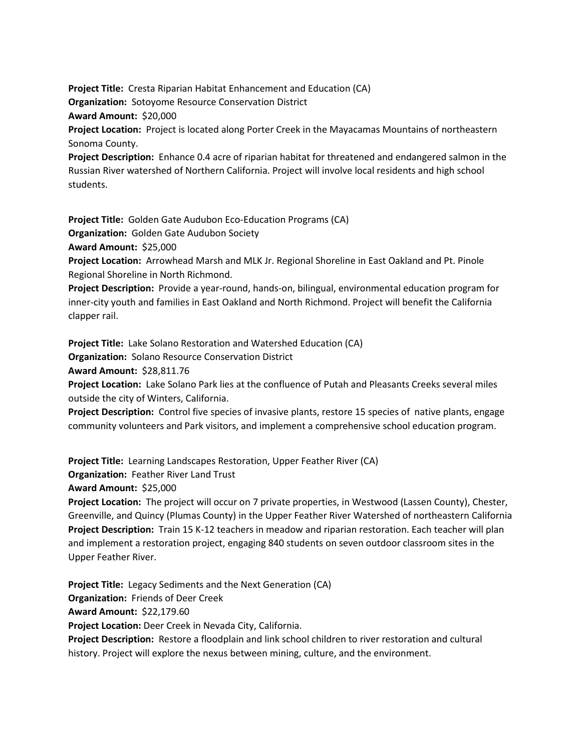**Project Title:** Cresta Riparian Habitat Enhancement and Education (CA) **Organization:** Sotoyome Resource Conservation District **Award Amount:** \$20,000 **Project Location:** Project is located along Porter Creek in the Mayacamas Mountains of northeastern Sonoma County.

**Project Description:** Enhance 0.4 acre of riparian habitat for threatened and endangered salmon in the Russian River watershed of Northern California. Project will involve local residents and high school students.

**Project Title:** Golden Gate Audubon Eco-Education Programs (CA)

**Organization:** Golden Gate Audubon Society

**Award Amount:** \$25,000

**Project Location:** Arrowhead Marsh and MLK Jr. Regional Shoreline in East Oakland and Pt. Pinole Regional Shoreline in North Richmond.

**Project Description:** Provide a year-round, hands-on, bilingual, environmental education program for inner-city youth and families in East Oakland and North Richmond. Project will benefit the California clapper rail.

**Project Title:** Lake Solano Restoration and Watershed Education (CA)

**Organization:** Solano Resource Conservation District

**Award Amount:** \$28,811.76

**Project Location:** Lake Solano Park lies at the confluence of Putah and Pleasants Creeks several miles outside the city of Winters, California.

**Project Description:** Control five species of invasive plants, restore 15 species of native plants, engage community volunteers and Park visitors, and implement a comprehensive school education program.

**Project Title:** Learning Landscapes Restoration, Upper Feather River (CA)

**Organization:** Feather River Land Trust

**Award Amount:** \$25,000

**Project Location:** The project will occur on 7 private properties, in Westwood (Lassen County), Chester, Greenville, and Quincy (Plumas County) in the Upper Feather River Watershed of northeastern California **Project Description:** Train 15 K-12 teachers in meadow and riparian restoration. Each teacher will plan and implement a restoration project, engaging 840 students on seven outdoor classroom sites in the Upper Feather River.

**Project Title:** Legacy Sediments and the Next Generation (CA) **Organization:** Friends of Deer Creek **Award Amount:** \$22,179.60 **Project Location:** Deer Creek in Nevada City, California. **Project Description:** Restore a floodplain and link school children to river restoration and cultural history. Project will explore the nexus between mining, culture, and the environment.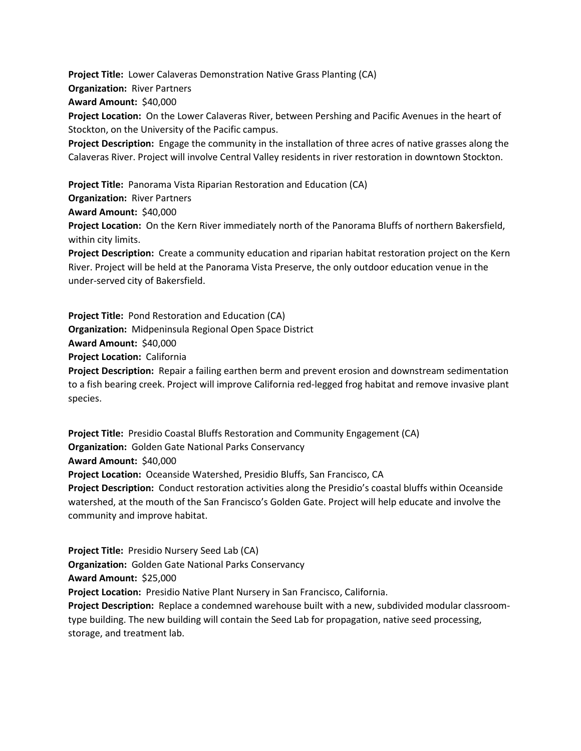**Project Title:** Lower Calaveras Demonstration Native Grass Planting (CA) **Organization:** River Partners **Award Amount:** \$40,000 **Project Location:** On the Lower Calaveras River, between Pershing and Pacific Avenues in the heart of Stockton, on the University of the Pacific campus. **Project Description:** Engage the community in the installation of three acres of native grasses along the

Calaveras River. Project will involve Central Valley residents in river restoration in downtown Stockton.

**Project Title:** Panorama Vista Riparian Restoration and Education (CA) **Organization:** River Partners **Award Amount:** \$40,000 **Project Location:** On the Kern River immediately north of the Panorama Bluffs of northern Bakersfield, within city limits. **Project Description:** Create a community education and riparian habitat restoration project on the Kern River. Project will be held at the Panorama Vista Preserve, the only outdoor education venue in the under-served city of Bakersfield.

**Project Title:** Pond Restoration and Education (CA) **Organization:** Midpeninsula Regional Open Space District **Award Amount:** \$40,000 **Project Location:** California **Project Description:** Repair a failing earthen berm and prevent erosion and downstream sedimentation to a fish bearing creek. Project will improve California red-legged frog habitat and remove invasive plant species.

**Project Title:** Presidio Coastal Bluffs Restoration and Community Engagement (CA) **Organization:** Golden Gate National Parks Conservancy **Award Amount:** \$40,000 **Project Location:** Oceanside Watershed, Presidio Bluffs, San Francisco, CA **Project Description:** Conduct restoration activities along the Presidio's coastal bluffs within Oceanside watershed, at the mouth of the San Francisco's Golden Gate. Project will help educate and involve the community and improve habitat.

**Project Title:** Presidio Nursery Seed Lab (CA) **Organization:** Golden Gate National Parks Conservancy **Award Amount:** \$25,000 **Project Location:** Presidio Native Plant Nursery in San Francisco, California. **Project Description:** Replace a condemned warehouse built with a new, subdivided modular classroomtype building. The new building will contain the Seed Lab for propagation, native seed processing, storage, and treatment lab.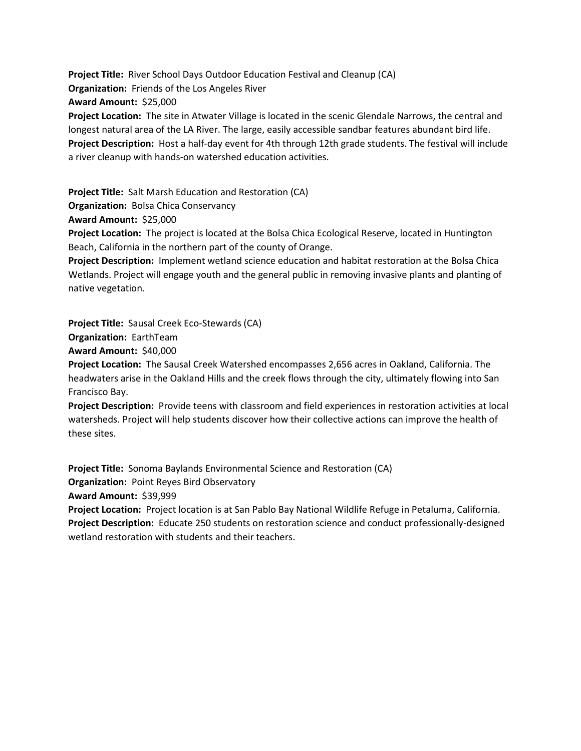**Project Title:** River School Days Outdoor Education Festival and Cleanup (CA) **Organization:** Friends of the Los Angeles River **Award Amount:** \$25,000 **Project Location:** The site in Atwater Village is located in the scenic Glendale Narrows, the central and longest natural area of the LA River. The large, easily accessible sandbar features abundant bird life. **Project Description:** Host a half-day event for 4th through 12th grade students. The festival will include

a river cleanup with hands-on watershed education activities.

**Project Title:** Salt Marsh Education and Restoration (CA)

**Organization:** Bolsa Chica Conservancy

**Award Amount:** \$25,000

**Project Location:** The project is located at the Bolsa Chica Ecological Reserve, located in Huntington Beach, California in the northern part of the county of Orange.

**Project Description:** Implement wetland science education and habitat restoration at the Bolsa Chica Wetlands. Project will engage youth and the general public in removing invasive plants and planting of native vegetation.

**Project Title:** Sausal Creek Eco-Stewards (CA)

**Organization:** EarthTeam

**Award Amount:** \$40,000

**Project Location:** The Sausal Creek Watershed encompasses 2,656 acres in Oakland, California. The headwaters arise in the Oakland Hills and the creek flows through the city, ultimately flowing into San Francisco Bay.

**Project Description:** Provide teens with classroom and field experiences in restoration activities at local watersheds. Project will help students discover how their collective actions can improve the health of these sites.

**Project Title:** Sonoma Baylands Environmental Science and Restoration (CA) **Organization:** Point Reyes Bird Observatory **Award Amount:** \$39,999 **Project Location:** Project location is at San Pablo Bay National Wildlife Refuge in Petaluma, California. **Project Description:** Educate 250 students on restoration science and conduct professionally-designed wetland restoration with students and their teachers.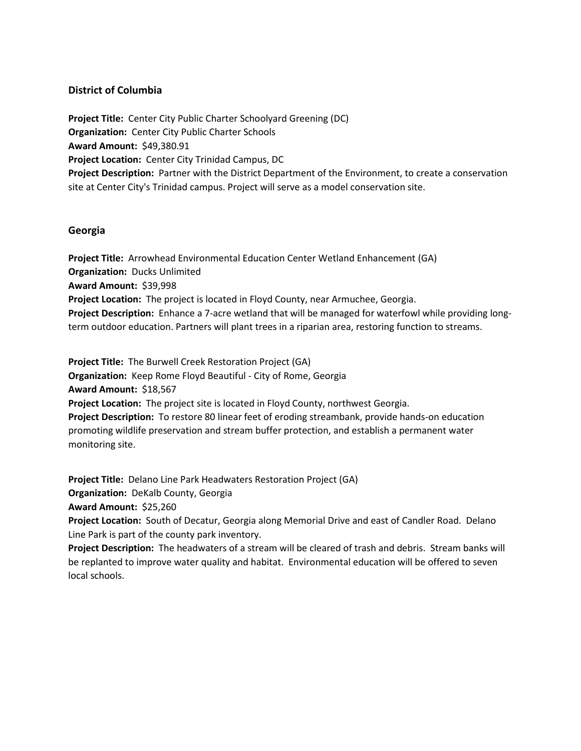## **District of Columbia**

**Project Title:** Center City Public Charter Schoolyard Greening (DC) **Organization:** Center City Public Charter Schools **Award Amount:** \$49,380.91 **Project Location:** Center City Trinidad Campus, DC **Project Description:** Partner with the District Department of the Environment, to create a conservation site at Center City's Trinidad campus. Project will serve as a model conservation site.

#### **Georgia**

**Project Title:** Arrowhead Environmental Education Center Wetland Enhancement (GA) **Organization:** Ducks Unlimited **Award Amount:** \$39,998 **Project Location:** The project is located in Floyd County, near Armuchee, Georgia. **Project Description:** Enhance a 7-acre wetland that will be managed for waterfowl while providing longterm outdoor education. Partners will plant trees in a riparian area, restoring function to streams.

**Project Title:** The Burwell Creek Restoration Project (GA) **Organization:** Keep Rome Floyd Beautiful - City of Rome, Georgia **Award Amount:** \$18,567 **Project Location:** The project site is located in Floyd County, northwest Georgia. **Project Description:** To restore 80 linear feet of eroding streambank, provide hands-on education promoting wildlife preservation and stream buffer protection, and establish a permanent water monitoring site.

**Project Title:** Delano Line Park Headwaters Restoration Project (GA)

**Organization:** DeKalb County, Georgia

**Award Amount:** \$25,260

**Project Location:** South of Decatur, Georgia along Memorial Drive and east of Candler Road. Delano Line Park is part of the county park inventory.

**Project Description:** The headwaters of a stream will be cleared of trash and debris. Stream banks will be replanted to improve water quality and habitat. Environmental education will be offered to seven local schools.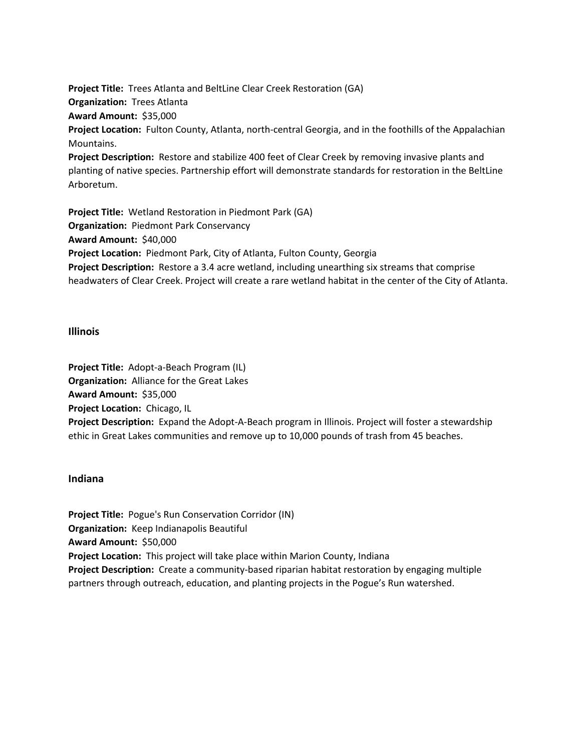**Project Title:** Trees Atlanta and BeltLine Clear Creek Restoration (GA) **Organization:** Trees Atlanta **Award Amount:** \$35,000 **Project Location:** Fulton County, Atlanta, north-central Georgia, and in the foothills of the Appalachian Mountains. **Project Description:** Restore and stabilize 400 feet of Clear Creek by removing invasive plants and planting of native species. Partnership effort will demonstrate standards for restoration in the BeltLine Arboretum.

**Project Title:** Wetland Restoration in Piedmont Park (GA) **Organization:** Piedmont Park Conservancy **Award Amount:** \$40,000 **Project Location:** Piedmont Park, City of Atlanta, Fulton County, Georgia **Project Description:** Restore a 3.4 acre wetland, including unearthing six streams that comprise headwaters of Clear Creek. Project will create a rare wetland habitat in the center of the City of Atlanta.

#### **Illinois**

**Project Title:** Adopt-a-Beach Program (IL) **Organization:** Alliance for the Great Lakes **Award Amount:** \$35,000 **Project Location:** Chicago, IL **Project Description:** Expand the Adopt-A-Beach program in Illinois. Project will foster a stewardship ethic in Great Lakes communities and remove up to 10,000 pounds of trash from 45 beaches.

#### **Indiana**

**Project Title:** Pogue's Run Conservation Corridor (IN) **Organization:** Keep Indianapolis Beautiful **Award Amount:** \$50,000 **Project Location:** This project will take place within Marion County, Indiana **Project Description:** Create a community-based riparian habitat restoration by engaging multiple partners through outreach, education, and planting projects in the Pogue's Run watershed.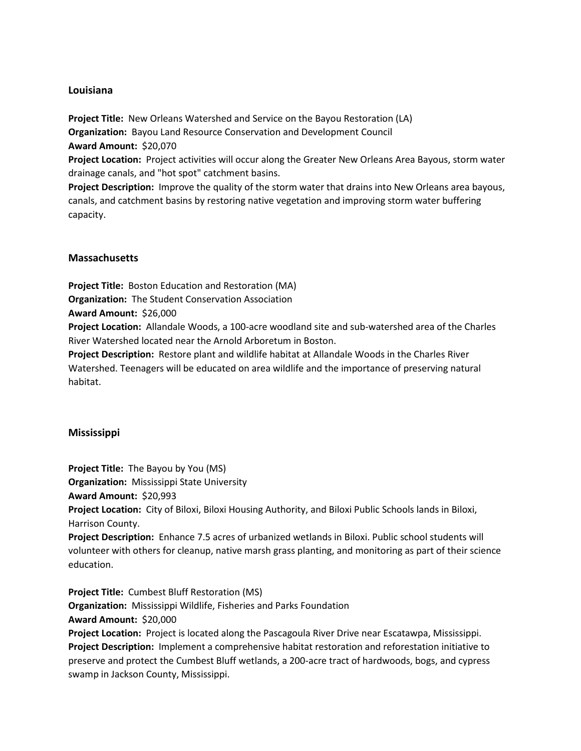## **Louisiana**

**Project Title:** New Orleans Watershed and Service on the Bayou Restoration (LA) **Organization:** Bayou Land Resource Conservation and Development Council **Award Amount:** \$20,070

**Project Location:** Project activities will occur along the Greater New Orleans Area Bayous, storm water drainage canals, and "hot spot" catchment basins.

**Project Description:** Improve the quality of the storm water that drains into New Orleans area bayous, canals, and catchment basins by restoring native vegetation and improving storm water buffering capacity.

# **Massachusetts**

**Project Title:** Boston Education and Restoration (MA)

**Organization:** The Student Conservation Association

**Award Amount:** \$26,000

**Project Location:** Allandale Woods, a 100-acre woodland site and sub-watershed area of the Charles River Watershed located near the Arnold Arboretum in Boston.

**Project Description:** Restore plant and wildlife habitat at Allandale Woods in the Charles River Watershed. Teenagers will be educated on area wildlife and the importance of preserving natural habitat.

#### **Mississippi**

**Project Title:** The Bayou by You (MS)

**Organization:** Mississippi State University

**Award Amount:** \$20,993

**Project Location:** City of Biloxi, Biloxi Housing Authority, and Biloxi Public Schools lands in Biloxi, Harrison County.

**Project Description:** Enhance 7.5 acres of urbanized wetlands in Biloxi. Public school students will volunteer with others for cleanup, native marsh grass planting, and monitoring as part of their science education.

**Project Title:** Cumbest Bluff Restoration (MS) **Organization:** Mississippi Wildlife, Fisheries and Parks Foundation **Award Amount:** \$20,000 **Project Location:** Project is located along the Pascagoula River Drive near Escatawpa, Mississippi. **Project Description:** Implement a comprehensive habitat restoration and reforestation initiative to preserve and protect the Cumbest Bluff wetlands, a 200-acre tract of hardwoods, bogs, and cypress swamp in Jackson County, Mississippi.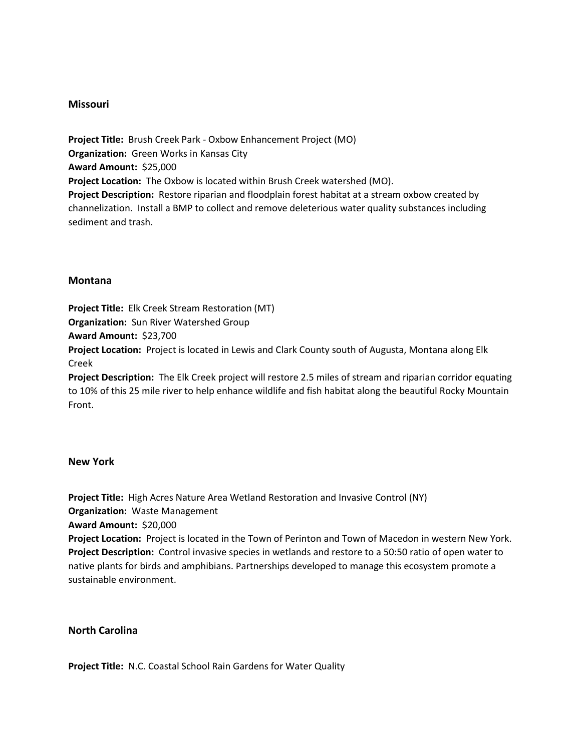#### **Missouri**

**Project Title:** Brush Creek Park - Oxbow Enhancement Project (MO) **Organization:** Green Works in Kansas City **Award Amount:** \$25,000 **Project Location:** The Oxbow is located within Brush Creek watershed (MO). **Project Description:** Restore riparian and floodplain forest habitat at a stream oxbow created by channelization. Install a BMP to collect and remove deleterious water quality substances including sediment and trash.

#### **Montana**

**Project Title:** Elk Creek Stream Restoration (MT) **Organization:** Sun River Watershed Group

**Award Amount:** \$23,700

**Project Location:** Project is located in Lewis and Clark County south of Augusta, Montana along Elk Creek

**Project Description:** The Elk Creek project will restore 2.5 miles of stream and riparian corridor equating to 10% of this 25 mile river to help enhance wildlife and fish habitat along the beautiful Rocky Mountain Front.

#### **New York**

**Project Title:** High Acres Nature Area Wetland Restoration and Invasive Control (NY) **Organization:** Waste Management **Award Amount:** \$20,000 **Project Location:** Project is located in the Town of Perinton and Town of Macedon in western New York. **Project Description:** Control invasive species in wetlands and restore to a 50:50 ratio of open water to native plants for birds and amphibians. Partnerships developed to manage this ecosystem promote a sustainable environment.

#### **North Carolina**

**Project Title:** N.C. Coastal School Rain Gardens for Water Quality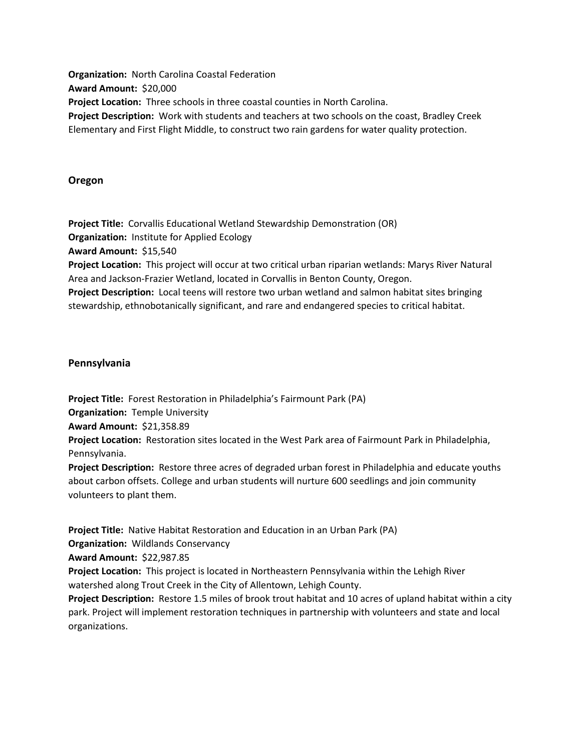**Organization:** North Carolina Coastal Federation **Award Amount:** \$20,000 **Project Location:** Three schools in three coastal counties in North Carolina. **Project Description:** Work with students and teachers at two schools on the coast, Bradley Creek Elementary and First Flight Middle, to construct two rain gardens for water quality protection.

#### **Oregon**

**Project Title:** Corvallis Educational Wetland Stewardship Demonstration (OR) **Organization:** Institute for Applied Ecology **Award Amount:** \$15,540 **Project Location:** This project will occur at two critical urban riparian wetlands: Marys River Natural Area and Jackson-Frazier Wetland, located in Corvallis in Benton County, Oregon. **Project Description:** Local teens will restore two urban wetland and salmon habitat sites bringing stewardship, ethnobotanically significant, and rare and endangered species to critical habitat.

#### **Pennsylvania**

**Project Title:** Forest Restoration in Philadelphia's Fairmount Park (PA)

**Organization:** Temple University

**Award Amount:** \$21,358.89

**Project Location:** Restoration sites located in the West Park area of Fairmount Park in Philadelphia, Pennsylvania.

**Project Description:** Restore three acres of degraded urban forest in Philadelphia and educate youths about carbon offsets. College and urban students will nurture 600 seedlings and join community volunteers to plant them.

**Project Title:** Native Habitat Restoration and Education in an Urban Park (PA)

**Organization:** Wildlands Conservancy

**Award Amount:** \$22,987.85

**Project Location:** This project is located in Northeastern Pennsylvania within the Lehigh River watershed along Trout Creek in the City of Allentown, Lehigh County.

**Project Description:** Restore 1.5 miles of brook trout habitat and 10 acres of upland habitat within a city park. Project will implement restoration techniques in partnership with volunteers and state and local organizations.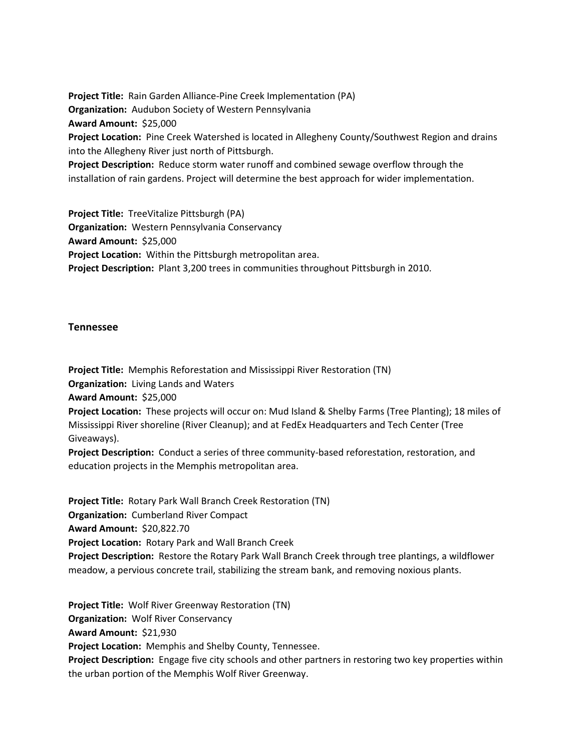**Project Title:** Rain Garden Alliance-Pine Creek Implementation (PA) **Organization:** Audubon Society of Western Pennsylvania **Award Amount:** \$25,000 **Project Location:** Pine Creek Watershed is located in Allegheny County/Southwest Region and drains into the Allegheny River just north of Pittsburgh. **Project Description:** Reduce storm water runoff and combined sewage overflow through the installation of rain gardens. Project will determine the best approach for wider implementation.

**Project Title:** TreeVitalize Pittsburgh (PA) **Organization:** Western Pennsylvania Conservancy **Award Amount:** \$25,000 **Project Location:** Within the Pittsburgh metropolitan area. **Project Description:** Plant 3,200 trees in communities throughout Pittsburgh in 2010.

#### **Tennessee**

**Project Title:** Memphis Reforestation and Mississippi River Restoration (TN)

**Organization:** Living Lands and Waters

**Award Amount:** \$25,000

**Project Location:** These projects will occur on: Mud Island & Shelby Farms (Tree Planting); 18 miles of Mississippi River shoreline (River Cleanup); and at FedEx Headquarters and Tech Center (Tree Giveaways).

**Project Description:** Conduct a series of three community-based reforestation, restoration, and education projects in the Memphis metropolitan area.

**Project Title:** Rotary Park Wall Branch Creek Restoration (TN) **Organization:** Cumberland River Compact **Award Amount:** \$20,822.70 **Project Location:** Rotary Park and Wall Branch Creek

**Project Description:** Restore the Rotary Park Wall Branch Creek through tree plantings, a wildflower meadow, a pervious concrete trail, stabilizing the stream bank, and removing noxious plants.

**Project Title:** Wolf River Greenway Restoration (TN) **Organization:** Wolf River Conservancy **Award Amount:** \$21,930 **Project Location:** Memphis and Shelby County, Tennessee.

**Project Description:** Engage five city schools and other partners in restoring two key properties within the urban portion of the Memphis Wolf River Greenway.